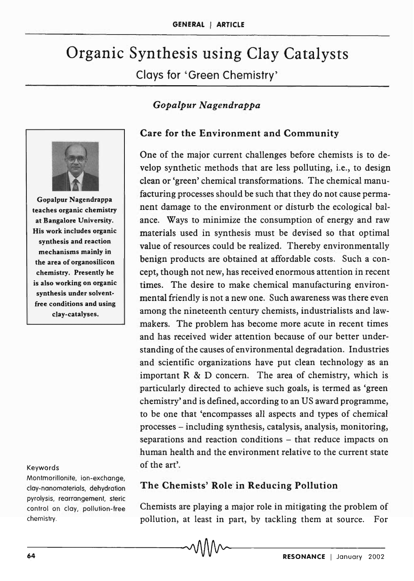# Organic Synthesis using Clay Catalysts Clays for 'Green Chemistry'

## *Gopalpur Nagendrappa*



Gopalpur Nagendrappa teaches organic chemistry at Bangalore University. His work includes organic synthesis and reaction mechanisms mainly in the area of organosilicon chemistry. Presently he is also working on organic synthesis under solventfree conditions and using clay-catalyses.

#### Keywords

Montmorillonite, ion-exchange, clay-nanomaterials, dehydration pyrolysis, rearrangement, steric control on clay, pollution-free chemistry.

### Care for the Environment and Community

One of the major current challenges before chemists is to develop synthetic methods that are less polluting, i.e., to design clean or 'green' chemical transformations. The chemical manufacturing processes should be such that they do not cause permanent damage to the environment or disturb the ecological balance. Ways to minimize the consumption of energy and raw materials used in synthesis must be devised so that optimal value of resources could be realized. Thereby environmentally benign products are obtained at affordable costs. Such a concept, though not new, has received enormous attention in recent times. The desire to make chemical manufacturing environmental friendly is not a new one. Such awareness was there even among the nineteenth century chemists, industrialists and lawmakers. The problem has become more acute in recent times and has received wider attention because of our better understanding of the causes of environmental degradation. Industries and scientific organizations have put clean technology as an important  $R \& D$  concern. The area of chemistry, which is particularly directed to achieve such goals, is termed as 'green chemistry' and is defined, according to an US award programme, to be one that 'encompasses all aspects and types of chemical processes - including synthesis, catalysis, analysis, monitoring, separations and reaction conditions – that reduce impacts on human health and the environment relative to the current state of the art'.

#### The Chemists' Role' in Reducing Pollution

Chemists are playing a major role in mitigating the problem of pollution, at least in part, by tackling them at source. For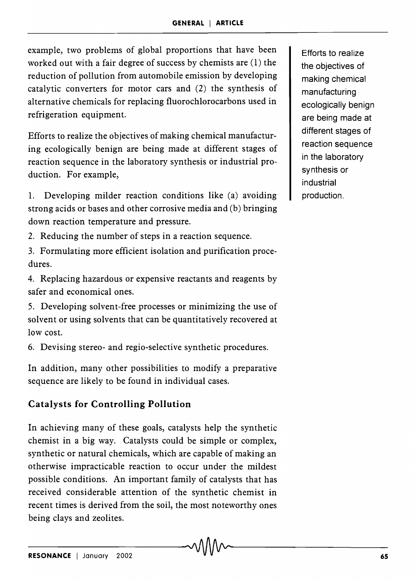example, two problems of global proportions that have been worked out with a fair degree of success by chemists are (1) the reduction of pollution from automobile emission by developing catalytic converters for motor cars and (2) the synthesis of alternative chemicals for replacing fluorochlorocarbons used in refrigeration equipment.

Efforts to realize the objectives of making chemical manufacturing ecologically benign are being made at different stages of reaction sequence in the laboratory synthesis or industrial production. For example,

1. Developing milder reaction conditions like (a) avoiding strong acids or bases and other corrosive media and (b) bringing down reaction temperature and pressure.

2. Reducing the number of steps in a reaction sequence.

3. Formulating more efficient isolation and purification procedures.

4. Replacing hazardous or expensive reactants and reagents by safer and economical ones.

5. Developing solvent-free processes or minimizing the use of solvent or using solvents that can be quantitatively recovered at low cost.

6. Devising stereo- and regio-selective synthetic procedures.

In addition, many other possibilities to modify a preparative sequence are likely to be found in individual cases.

## **Catalysts for Controlling Pollution**

In achieving many of these goals, catalysts help the synthetic chemist in a big way. Catalysts could be simple or complex, synthetic or natural chemicals, which are capable of making an otherwise impracticable reaction to occur under the mildest possible conditions. An important family of catalysts that has received considerable attention of the synthetic chemist in recent times is derived from the soil, the most noteworthy ones being clays and zeolites.

Efforts to realize the objectives of making chemical manufacturing ecologically benign are being made at different stages of reaction sequence in the laboratory synthesis or industrial production.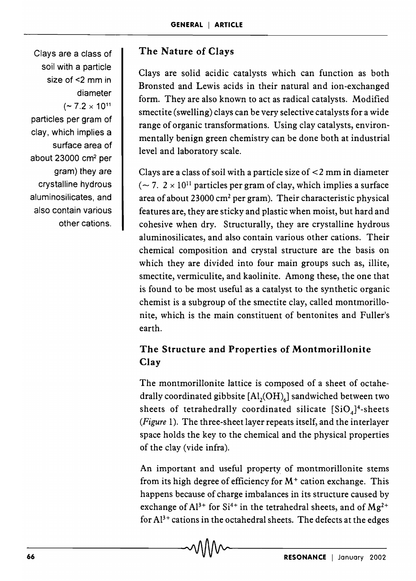Clays are a class of soil with a particle size of <2 mm in diameter  $(-7.2 \times 10^{11}$ particles per gram of clay, which implies a surface area of about 23000 cm2 per gram) they are crystalline hydrous aluminosilicates, and also contain various other cations.

# **The Nature of Clays**

Clays are solid acidic catalysts which can function as both Bronsted and Lewis acids in their natural and ion-exchanged form. They are also known to act as radical catalysts. Modified smectite (swelling) clays can be very selective catalysts for a wide range of organic transformations. Using clay catalysts, environmentally benign green chemistry can be done both at industrial level and laboratory scale.

Clays are a class of soil with a particle size of  $\leq$  2 mm in diameter  $(-7. 2 \times 10^{11}$  particles per gram of clay, which implies a surface area of about 23000  $\text{cm}^2$  per gram). Their characteristic physical features are, they are sticky and plastic when moist, but hard and cohesive when dry. Structurally, they are crystalline hydrous aluminosilicates, and also contain various other cations. Their chemical composition and crystal structure are the basis on which they are divided into four main groups such as, illite, smectite, vermiculite, and kaolinite. Among these, the one that is found to be most useful as a catalyst to the synthetic organic chemist is a subgroup of the smectite clay, called montmorillonite, which is the main constituent of bentonites and Fuller's earth.

## **The Structure and Properties of Montmorillonite Clay**

The montmorillonite lattice is composed of a sheet of octahedrally coordinated gibbsite  $[A1,(OH)]$  sandwiched between two sheets of tetrahedrally coordinated silicate  $[SiO<sub>4</sub>]$ <sup>4</sup>-sheets *(Figure* 1). The three-sheet layer repeats itself, and the interlayer space holds the key to the chemical and the physical properties of the clay (vide infra).

An important and useful property of montmorillonite stems from its high degree of efficiency for  $M<sup>+</sup>$  cation exchange. This happens because of charge imbalances in its structure caused by exchange of  $Al^{3+}$  for  $Si^{4+}$  in the tetrahedral sheets, and of  $Mg^{2+}$ for  $Al^{3+}$  cations in the octahedral sheets. The defects at the edges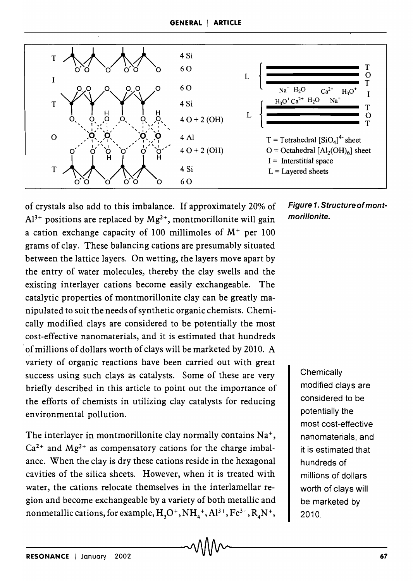

of crystals also add to this imbalance. If approximately 20% of  $Al^{3+}$  positions are replaced by  $Mg^{2+}$ , montmorillonite will gain a cation exchange capacity of 100 millimoles of  $M^+$  per 100 grams of clay. These balancing cations are presumably situated between the lattice layers. On wetting, the layers move apart by the entry of water molecules, thereby the clay swells and the existing interlayer cations become easily exchangeable. The catalytic properties of montmorillonite clay can be greatly manipulated to suit the needs of synthetic organic chemists. Chemically modified clays are considered to be potentially the most cost-effective nanomaterials, and it is estimated that hundreds of millions of dollars worth of clays will be marketed by 2010. A variety of organic reactions have been carried out with great success using such clays as catalysts. Some of these are very briefly described in this article to point out the importance of the efforts of chemists in utilizing clay catalysts for reducing environmental pollution.

The interlayer in montmorillonite clay normally contains Na<sup>+</sup>,  $Ca<sup>2+</sup>$  and  $Mg<sup>2+</sup>$  as compensatory cations for the charge imbalance. When the clay is dry these cations reside in the hexagonal cavities of the silica sheets. However, when it is treated with water, the cations relocate themselves in the interlamellar region and become exchangeable by a variety of both metallic and nonmetallic cations, for example,  $H_3O^+$ ,  $NH_4^+$ ,  $Al^{3+}$ ,  $Fe^{3+}$ ,  $R_4N^+$ , *Figure* 1. *Structure* of *montmorillonite.* 

> **Chemically** modified clays are considered to be potentially the most cost-effective nanomaterials, and it is estimated that hundreds of millions of dollars worth of clays will be marketed by 2010.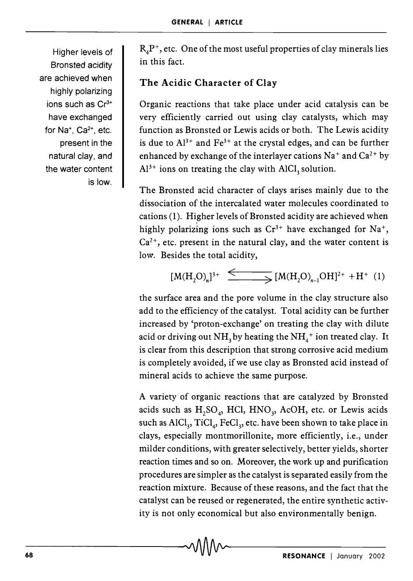Higher levels of Bronsted acidity are achieved when highly polarizing ions such as Cr<sup>3+</sup> have exchanged for Na<sup>+</sup>, Ca<sup>2+</sup>, etc. present in the natural clay, and the water content is low.

 $R<sub>A</sub>P<sup>+</sup>$ , etc. One of the most useful properties of clay minerals lies in this fact.

## The Acidic Character of Clay

Organic reactions that take place under acid catalysis can be very efficiently carried out using clay catalysts, which may function as Bronsted or Lewis acids or both. The Lewis acidity is due to  $Al^{3+}$  and  $Fe^{3+}$  at the crystal edges, and can be further enhanced by exchange of the interlayer cations  $Na<sup>+</sup>$  and  $Ca<sup>2+</sup>$  by  $Al^{3+}$  ions on treating the clay with  $AlCl<sub>3</sub>$  solution.

The Bronsted acid character of clays arises mainly due to the dissociation of the intercalated water molecules coordinated to cations (1). Higher levels of Bronsted acidity are achieved when highly polarizing ions such as  $Cr^{3+}$  have exchanged for Na<sup>+</sup>,  $Ca<sup>2+</sup>$ , etc. present in the natural clay, and the water content is low. Besides the total acidity,

$$
[M(H_2O)_n]^{3+} \xrightarrow{\leftarrow} [M(H_2O)_{n-1}OH]^{2+} + H^+(1)
$$

the surface area and the pore volume in the clay structure also add to the efficiency of the catalyst. Total acidity can be further increased by 'proton-exchange' on treating the clay with dilute acid or driving out  $NH<sub>3</sub>$  by heating the  $NH<sub>4</sub><sup>+</sup>$  ion treated clay. It is clear from this description that strong corrosive acid medium is completely avoided, if we use clay as Bronsted acid instead of mineral acids to achieve the same purpose.

A variety of organic reactions that are catalyzed by Bronsted acids such as  $H_2SO_4$ , HCl, HNO<sub>3</sub>, AcOH, etc. or Lewis acids such as AlCl<sub>3</sub>, TiCl<sub>4</sub>, FeCl<sub>3</sub>, etc. have been shown to take place in clays, especially montmorillonite, more efficiently, i.e., under milder conditions, with greater selectively, better yields, shorter reaction times and so on. Moreover, the work up and purification procedures are simpler as the catalyst is separated easily from the reaction mixture. Because of these reasons, and the fact that the catalyst can be reused or regenerated, the entire synthetic activity is not only economical but also environmentally benign.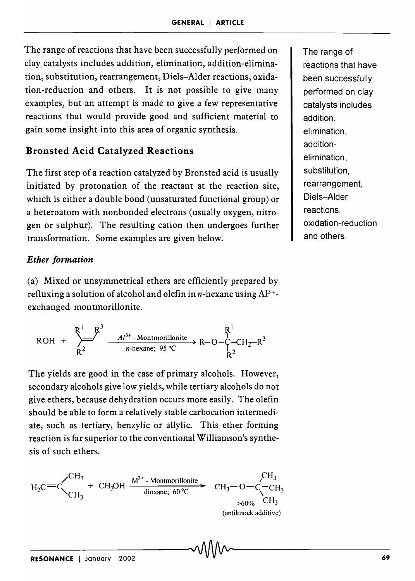The range of reactions that have been successfully performed on clay catalysts includes addition, elimination, addition-elimination, substitution, rearrangement, Diels-Alder reactions, oxidation-reduction and others. It is not possible to give many examples, but an attempt is made to give a few representative reactions that would provide good and sufficient material to gain some insight into this area of organic synthesis.

### Bronsted Acid Catalyzed Reactions

The first step of a reaction catalyzed by Bronsted acid is usually initiated by protonation of the reactant at the reaction site, which is either a double bond (unsaturated functional group) or a heteroatom with nonbonded electrons (usually oxygen, nitrogen or sulphur). The resulting cation then undergoes further transformation. Some examples are given below.

#### *Ether formation*

(a) Mixed or unsymmetrical ethers are efficiently prepared by refluxing a solution of alcohol and olefin in *n*-hexane using  $Al^{3+}$ exchanged montmorillonite.

$$
ROH + \sum_{R^2}^{R^1} \xrightarrow{A1^{3+}-\text{Montmorillonite}} R^{-1}C^{-1}C^{+}R^3
$$

The yields are good in the case of primary alcohols. However, secondary alcohols give low yields, while tertiary alcohols do not give ethers, because dehydration occurs more easily. The olefin should be able to form a relatively stable carbocation intermediate, such as tertiary, benzylic or allylic. This ether forming reaction is far superior to the conventional Williamson's synthesis of such ethers.

$$
H_2C = C \begin{matrix} CH_3 & CH_3 \cdot \text{Mottmoriillonite} \\ CH_3 & \text{dixane}; 60^{\circ}\text{C} \end{matrix} \xrightarrow{\text{CH}_3-O-C-CH_3} C H_3 \begin{matrix} CH_3 & CH_3 \cdot \text{Mottmoriillonite} \\ CH_3 & \text{dixane}; 60^{\circ}\text{C} \end{matrix} \xrightarrow{\text{CH}_3 \times 60\%} C H_3
$$
\n(antiknotk additive)

The range of reactions that have been successfully performed on clay catalysts includes addition, elimination, additionelimination, substitution, rearrangement, Diels-Alder reactions, oxidation-red uction and others.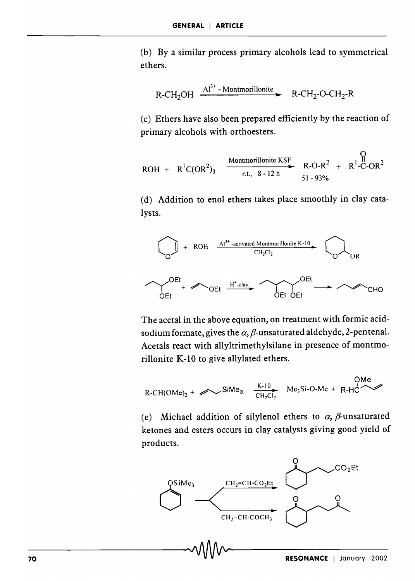(b) By a similar process primary alcohols lead to symmetrical ethers.

$$
R\text{-CH}_2\text{OH} \xrightarrow{Al^{3+}-\text{Montmorillonite}} R\text{-CH}_2\text{-O-CH}_2\text{-R}
$$

(c) Ethers have also been prepared efficiently by the reaction of primary alcohols with orthoesters.

$$
ROH + R^{1}C(OR^{2})_{3} \xrightarrow{\text{Montmorillonite KSF}} R\text{-O-R}^{2} + R^{1}\text{-C-OR}^{2}
$$

(d) Addition to enol ethers takes place smoothly in clay catalysts.



The acetal in the above equation, on treatment with formic acidsodium formate, gives the  $\alpha$ ,  $\beta$ -unsaturated aldehyde, 2-pentenal. Acetals react with allyltrimethylsilane in presence of montmorillonite K-IO to give allylated ethers.

$$
R\text{-CH(OMe)2} + \text{Sime}_3 \quad \xrightarrow{K-10} \text{Me}_3 \text{Si-O-Me} + R\text{-HC} \quad \text{OMe}
$$

(e) Michael addition of silylenol ethers to  $\alpha$ ,  $\beta$ -unsaturated ketones and esters occurs in clay catalysts giving good yield of products.

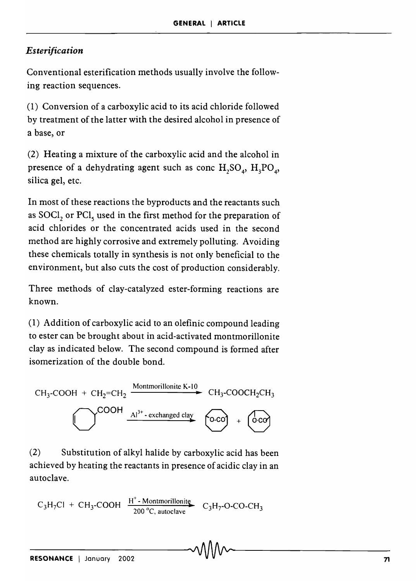### *Esterification*

Conventional esterification methods usually involve the following reaction sequences.

(1) Conversion of a carboxylic acid to its acid chloride followed by treatment of the latter with the desired alcohol in presence of a base, or

(2) Heating a mixture of the carboxylic acid and the alcohol in presence of a dehydrating agent such as conc  $H_2SO_4$ ,  $H_3PO_4$ , silica gel, etc.

In most of these reactions the byproducts and the reactants such as SOCl, or PCl, used in the first method for the preparation of acid chlorides or the concentrated acids used in the second method are highly corrosive and extremely polluting. Avoiding these chemicals totally in synthesis is not only beneficial to the environment, but also cuts the cost of production considerably.

Three methods of clay-catalyzed ester-forming reactions are known.

(1) Addition of carboxylic acid to an olefinic compound leading to ester can be brought about in acid-activated montmorillonite clay as indicated below. The second compound is formed after isomerization of the double bond.

$$
CH_3\text{-COOH} + CH_2=CH_2 \xrightarrow{\text{Montmorillonite K-10}} CH_3\text{-COOCH}_2CH_3
$$
\n
$$
CH_3\text{-COOCH}_2CH_3
$$
\n
$$
A1^{3+}\text{-exchanged clay} \qquad \qquad \text{O-coO} + \qquad \qquad \text{O-coO}
$$

(2) Substitution of alkyl halide by carboxylic acid has been achieved by heating the reactants in presence of acidic clay in an autoclave.

H<sup>+</sup> - Montmorillonitę 200°C, autoclave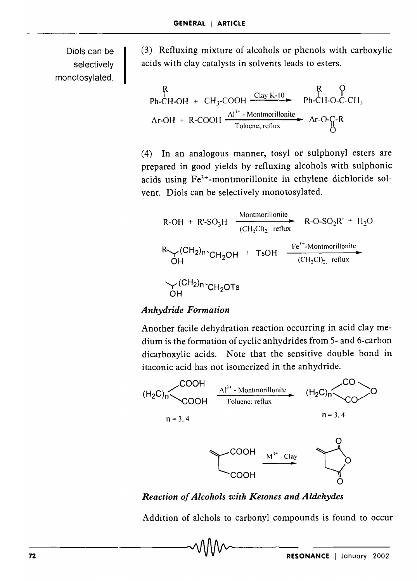Diols can be selectively monotosylated.

(3) Refluxing mixture of alcohols or phenols with carboxylic acids with clay catalysts in solvents leads to esters.

$$
\begin{array}{cccc}\n & R & Q \\
\text{Ph-CH-OH} + \text{CH}_3\text{-COOH} & \xrightarrow{\text{Clay K-10}} & \text{Ph-CH-O-C-CH}_3 \\
\text{Ar-OH} + \text{R-COOH} & \xrightarrow{\text{Al}^{3+}\text{-}\text{Monmorillonite}} & \text{Ar-O-C-R} \\
\end{array}
$$

(4) In an analogous manner, tosyl or sulphonyl esters are prepared in good yields by refluxing alcohols with sulphonic acids using Fe3+ -montmorillonite in ethylene dichloride solvent. Diols can be selectively monotosylated.

R-OH + R'SO<sub>3</sub>H 
$$
\xrightarrow{\text{Montmorillonite}}
$$
 R-O-SO<sub>2</sub>R' + H<sub>2</sub>O  
\nR $\vee$ (CH<sub>2</sub>)n $\cdot$ CH<sub>2</sub>OH + TsOH  $\xrightarrow{\text{Fe}^{3+}}$ -Montmorillonite  
\nOH  
\nCH<sub>2</sub>OH $\cdot$ CH<sub>2</sub>OH $\cdot$ CH<sub>2</sub>OTs

#### *Anhydride Formation*

Another facile dehydration reaction occurring in acid clay medium is the formation of cyclic anhydrides from 5- and 6-carbon dicarboxylic acids. Note that the sensitive double bond in itaconic acid has not isomerized in the anhydride.



#### *Reaction of Alcohols with Ketones and Aldehydes*

Addition of alchols to carbonyl compounds is found to occur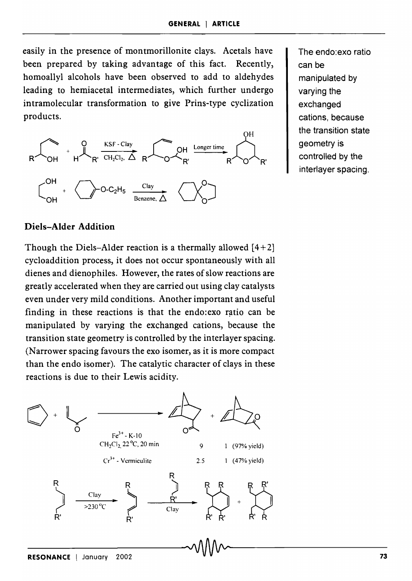easily in the presence of montmorillonite clays. Acetals have been prepared by taking advantage of this fact. Recently, homoallyl alcohols have been observed to add to aldehydes leading to hemiacetal intermediates, which further undergo intramolecular transformation to give Prins-type cyclization products.



The endo:exo ratio can be manipulated by varying the exchanged cations, because the transition state geometry is controlled by the interlayer spacing.

#### **Diels-Alder Addition**

Though the Diels-Alder reaction is a thermally allowed  $[4+2]$ cycloaddition process, it does not occur spontaneously with all dienes and dienophiles. However, the rates of slow reactions are greatly accelerated when they are carried out using clay catalysts even under very mild conditions. Another important and useful finding in these reactions is that the endo:exo ratio can be manipulated by varying the exchanged cations, because the transition state geometry is controlled by the interlayer spacing. (Narrower spacing favours the exo isomer, as it is more compact) than the endo isomer). The catalytic character of clays in these reactions is due to their Lewis acidity.

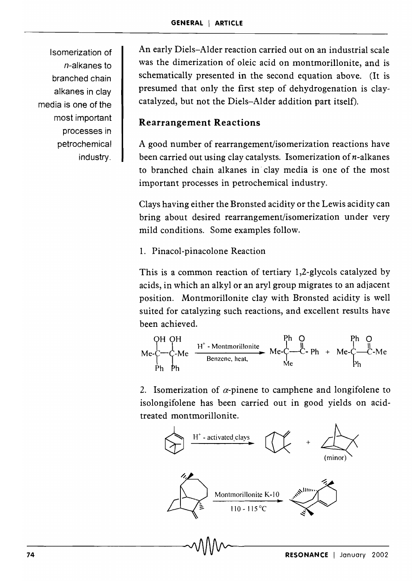Isomerization of n-alkanes to branched chain alkanes in clay media is one of the most important processes in petrochemical industry.

An early Diels-Alder reaction carried out on an industrial scale was the dimerization of oleic acid on montmorillonite, and is schematically presented in the second equation above. (It is presumed that only the first step of dehydrogenation is claycatalyzed, but not the Diels-Alder addition part itself).

## **Rearrangement Reactions**

A good number of rearrangement/isomerization reactions have been carried out using clay catalysts. Isomerization of  $n$ -alkanes to branched chain alkanes in' clay media is one of the most important processes in petrochemical industry.

Clays having either the Bronsted acidity or the Lewis acidity can bring about desired rearrangement/isomerization under very mild conditions. Some examples follow.

#### 1. Pinacol-pinacolone Reaction

This is a common reaction of tertiary 1,2-g1ycols catalyzed by acids, in which an alkyl or an aryl group migrates to an adjacent position. Montmorillonite clay with Bronsted acidity is well suited for catalyzing such reactions, and excellent results have been achieved.

been achieved.

\nOH OH

\nMe-
$$
\left\{\begin{array}{ccc}\n\text{Ph} & \text{Ph} & \text{Ph} & \text{Ph} & \text{Ph} \\
\text{Me-}\text{O} & \text{H}^+ \cdot \text{Montmorillonite} & \text{Me-}\text{O} & \text{Ph} & \text{Me} \\
\text{Ph} & \text{Ph} & \text{Me} & \text{Me} & \text{Me} \\
\text{Ph} & \text{Ph} & \text{Me} & \text{Me} \\
\text{Ph} & \text{Ph} & \text{Ph}\n\end{array}\right.
$$

2. Isomerization of  $\alpha$ -pinene to camphene and longifolene to isolongifolene has been carried out in good yields on acidtreated montmorillonite.

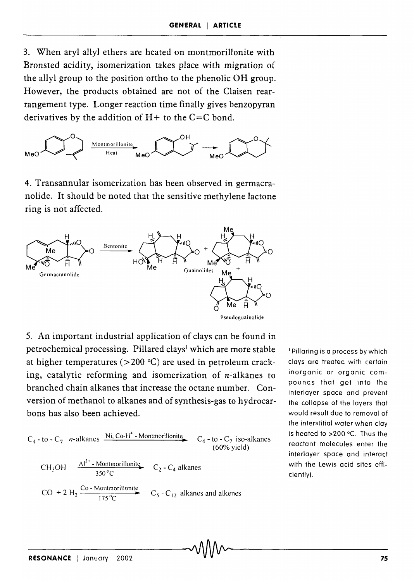3. When aryl allyl ethers are heated on montmorillonite with Bronsted acidity, isomerization takes place with migration of the allyl group to the position ortho to the phenolic OH group. However, the products obtained are not of the Claisen rearrangement type. Longer reaction time finally gives benzopyran derivatives by the addition of  $H+$  to the C=C bond.



4. Transannular isomerization has been observed in germacranolide. It should be noted that the sensitive methylene lactone ring is not affected.



5. An important industrial application of clays can be found in petrochemical processing. Pillared clays<sup>1</sup> which are more stable at higher temperatures ( $>$ 200 °C) are used in petroleum cracking, catalytic reforming and isomerization of n-alkanes to branched chain alkanes that increase the octane number. Conversion of methanol to alkanes and of synthesis-gas to hydrocarbons has also been achieved.

C<sub>4</sub> - to - C<sub>7</sub> *n*-alkanes 
$$
\frac{Ni, Co-H^+
$$
-Montmorillonite}{{(60% yield) (60% yield)}}  
\nCH<sub>3</sub>OH  $\frac{Al^{3+} - \text{Montmorillonite}}{350^{\circ}C}$  C<sub>2</sub> - C<sub>4</sub> alkanes  
\nCO + 2 H<sub>2</sub>  $\frac{Co - \text{Montmorillonite}}{175^{\circ}C}$  C<sub>5</sub> - C<sub>12</sub> alkanes and alkenes

1 Pillaring is a process by which clays are treated with certain inorganic or organic compounds that get into the interlayer space and prevent the collapse of the layers that would result due to removal of the interstitial water when clay is heated to  $>200$  °C. Thus the reactant molecules enter the interlayer space and interact with the Lewis acid sites efficiently).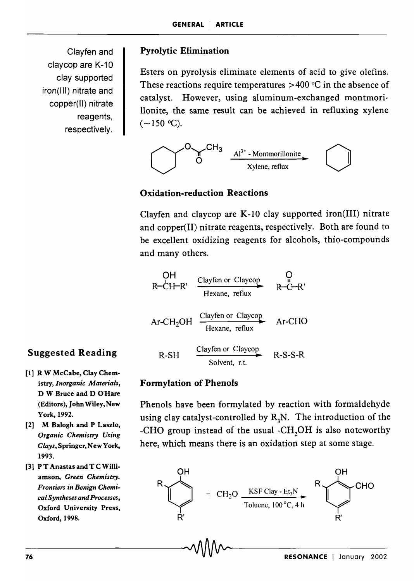Clayfen and claycop are K-10 clay supported iron(lIl) nitrate and copper(lI) nitrate reagents, respectively.

#### Pyrolytic Elimination

Esters on pyrolysis eliminate elements of acid to give olefins. These reactions require temperatures  $>400$  °C in the absence of catalyst. However, using aluminum-exchanged montmorillonite, the same result can be achieved in refluxing xylene  $(-150 °C)$ .



#### Oxidation-reduction Reactions

Clayfen and claycop are K-I0 clay supported iron(III) nitrate and copper(II) nitrate reagents, respectively. Both are found to be excellent oxidizing reagents for alcohols, thio-compounds and many others.

OH R-CI+-R' Clayfen or Claycop **•**  Hexane, reflux o II R-C-R' A 0 Clayfen or Claycop Ar-CHO r-CH2 **H ..**  R-SH Hexane, reflux Clayfen or Claycop **..** Solvent, r.t. R-S-S-R

#### Formylation of Phenols

Phenols have been formylated by reaction with formaldehyde using clay catalyst-controlled by  $R_3N$ . The introduction of the -CHO group instead of the usual -CH<sub>2</sub>OH is also noteworthy here, which means there is an oxidation step at some stage.



## Suggested Reading

- [1] R W McCabe, Clay Chemistry, *Inorganic Materials,*  D W Bruce and D O'Hare (Editors), John Wiley, New York,1992.
- [2] M Balogh and P Laszlo, *Organic Chemistry Using Clays,* Springer, New York, 1993.
- [3] P T Anastas and T C Williamson, *Green Chemistry. Frontiers in Benign Chemical Syntheses andProcesses,*  Oxford University Press, Oxford, 1998.